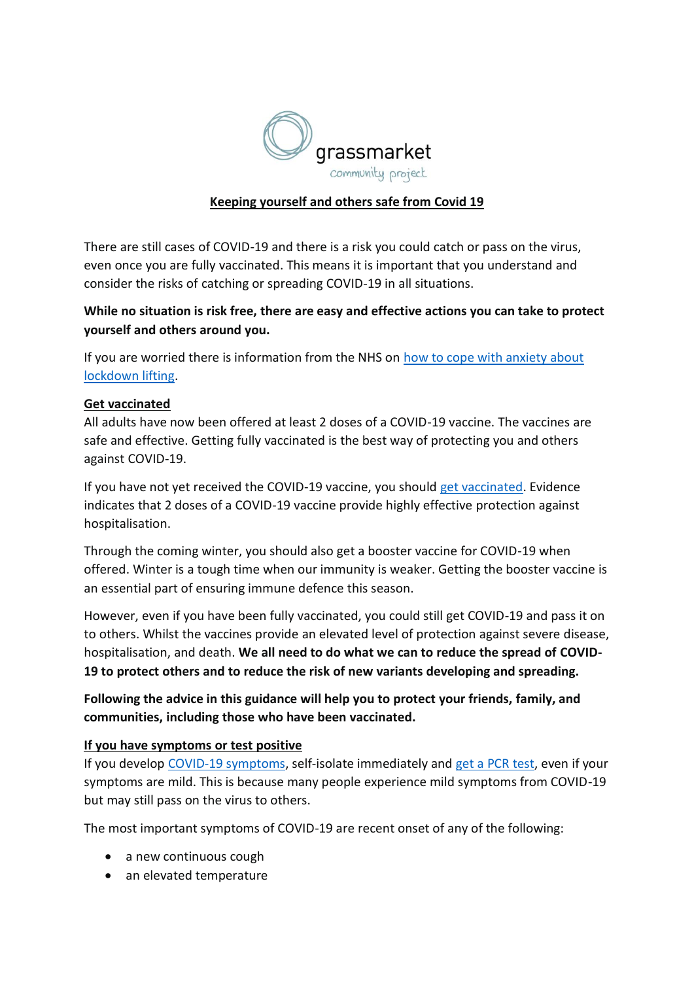

# **Keeping yourself and others safe from Covid 19**

There are still cases of COVID-19 and there is a risk you could catch or pass on the virus, even once you are fully vaccinated. This means it is important that you understand and consider the risks of catching or spreading COVID-19 in all situations.

# **While no situation is risk free, there are easy and effective actions you can take to protect yourself and others around you.**

If you are worried there is information from the NHS on [how to cope with anxiety about](https://www.nhs.uk/every-mind-matters/coronavirus/tips-to-cope-with-anxiety-lockdown-lifting/)  [lockdown lifting.](https://www.nhs.uk/every-mind-matters/coronavirus/tips-to-cope-with-anxiety-lockdown-lifting/)

#### **Get vaccinated**

All adults have now been offered at least 2 doses of a COVID-19 vaccine. The vaccines are safe and effective. Getting fully vaccinated is the best way of protecting you and others against COVID-19.

If you have not yet received the COVID-19 vaccine, you should [get vaccinated.](https://www.nhs.uk/conditions/coronavirus-covid-19/coronavirus-vaccination/coronavirus-vaccine/) Evidence indicates that 2 doses of a COVID-19 vaccine provide highly effective protection against hospitalisation.

Through the coming winter, you should also get a booster vaccine for COVID-19 when offered. Winter is a tough time when our immunity is weaker. Getting the booster vaccine is an essential part of ensuring immune defence this season.

However, even if you have been fully vaccinated, you could still get COVID-19 and pass it on to others. Whilst the vaccines provide an elevated level of protection against severe disease, hospitalisation, and death. **We all need to do what we can to reduce the spread of COVID-19 to protect others and to reduce the risk of new variants developing and spreading.**

**Following the advice in this guidance will help you to protect your friends, family, and communities, including those who have been vaccinated.**

### **If you have symptoms or test positive**

If you develop [COVID-19 symptoms,](https://www.nhs.uk/conditions/coronavirus-covid-19/symptoms/) self-isolate immediately and [get a PCR test,](https://www.gov.uk/get-coronavirus-test) even if your symptoms are mild. This is because many people experience mild symptoms from COVID-19 but may still pass on the virus to others.

The most important symptoms of COVID-19 are recent onset of any of the following:

- a new continuous cough
- an elevated temperature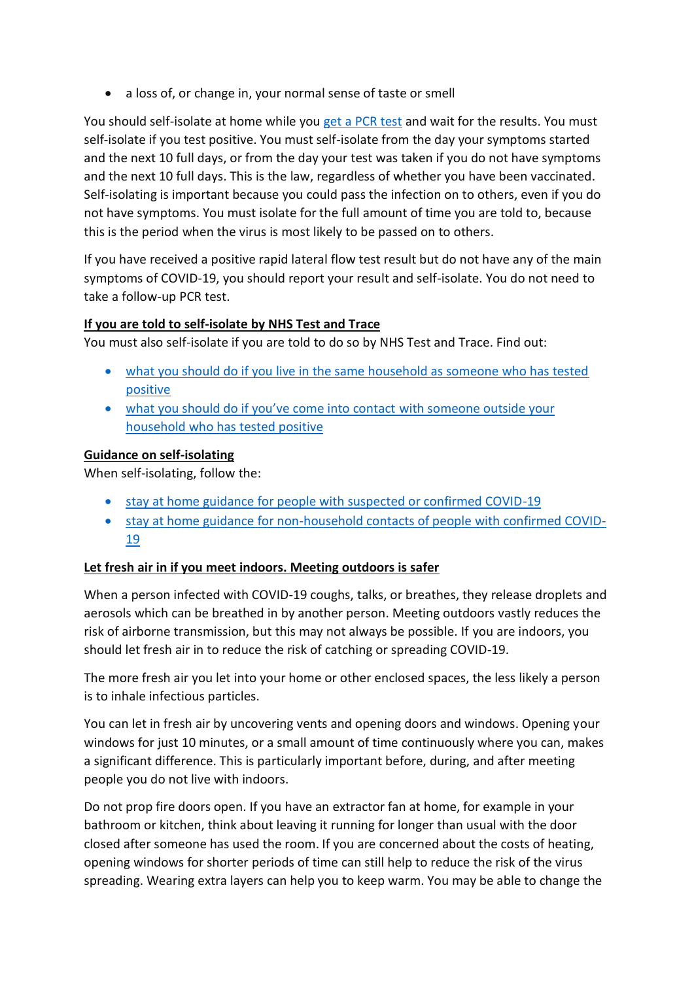• a loss of, or change in, your normal sense of taste or smell

You should self-isolate at home while you [get a PCR test](https://www.gov.uk/get-coronavirus-test) and wait for the results. You must self-isolate if you test positive. You must self-isolate from the day your symptoms started and the next 10 full days, or from the day your test was taken if you do not have symptoms and the next 10 full days. This is the law, regardless of whether you have been vaccinated. Self-isolating is important because you could pass the infection on to others, even if you do not have symptoms. You must isolate for the full amount of time you are told to, because this is the period when the virus is most likely to be passed on to others.

If you have received a positive rapid lateral flow test result but do not have any of the main symptoms of COVID-19, you should report your result and self-isolate. You do not need to take a follow-up PCR test.

### **If you are told to self-isolate by NHS Test and Trace**

You must also self-isolate if you are told to do so by NHS Test and Trace. Find out:

- [what you should do if you live in the same household as someone who has tested](https://www.gov.uk/government/publications/covid-19-stay-at-home-guidance/stay-at-home-guidance-for-households-with-possible-coronavirus-covid-19-infection)  [positive](https://www.gov.uk/government/publications/covid-19-stay-at-home-guidance/stay-at-home-guidance-for-households-with-possible-coronavirus-covid-19-infection)
- [what you should do if you've come into contact](https://www.gov.uk/government/publications/guidance-for-contacts-of-people-with-possible-or-confirmed-coronavirus-covid-19-infection-who-do-not-live-with-the-person/guidance-for-contacts-of-people-with-possible-or-confirmed-coronavirus-covid-19-infection-who-do-not-live-with-the-person) with someone outside your [household who has tested positive](https://www.gov.uk/government/publications/guidance-for-contacts-of-people-with-possible-or-confirmed-coronavirus-covid-19-infection-who-do-not-live-with-the-person/guidance-for-contacts-of-people-with-possible-or-confirmed-coronavirus-covid-19-infection-who-do-not-live-with-the-person)

### **Guidance on self-isolating**

When self-isolating, follow the:

- [stay at home guidance for people with suspected or confirmed COVID-19](https://www.gov.uk/government/publications/covid-19-stay-at-home-guidance/stay-at-home-guidance-for-households-with-possible-coronavirus-covid-19-infection)
- [stay at home guidance for non-household contacts of people with confirmed COVID-](https://www.gov.uk/government/publications/guidance-for-contacts-of-people-with-possible-or-confirmed-coronavirus-covid-19-infection-who-do-not-live-with-the-person/guidance-for-contacts-of-people-with-possible-or-confirmed-coronavirus-covid-19-infection-who-do-not-live-with-the-person)[19](https://www.gov.uk/government/publications/guidance-for-contacts-of-people-with-possible-or-confirmed-coronavirus-covid-19-infection-who-do-not-live-with-the-person/guidance-for-contacts-of-people-with-possible-or-confirmed-coronavirus-covid-19-infection-who-do-not-live-with-the-person)

### **Let fresh air in if you meet indoors. Meeting outdoors is safer**

When a person infected with COVID-19 coughs, talks, or breathes, they release droplets and aerosols which can be breathed in by another person. Meeting outdoors vastly reduces the risk of airborne transmission, but this may not always be possible. If you are indoors, you should let fresh air in to reduce the risk of catching or spreading COVID-19.

The more fresh air you let into your home or other enclosed spaces, the less likely a person is to inhale infectious particles.

You can let in fresh air by uncovering vents and opening doors and windows. Opening your windows for just 10 minutes, or a small amount of time continuously where you can, makes a significant difference. This is particularly important before, during, and after meeting people you do not live with indoors.

Do not prop fire doors open. If you have an extractor fan at home, for example in your bathroom or kitchen, think about leaving it running for longer than usual with the door closed after someone has used the room. If you are concerned about the costs of heating, opening windows for shorter periods of time can still help to reduce the risk of the virus spreading. Wearing extra layers can help you to keep warm. You may be able to change the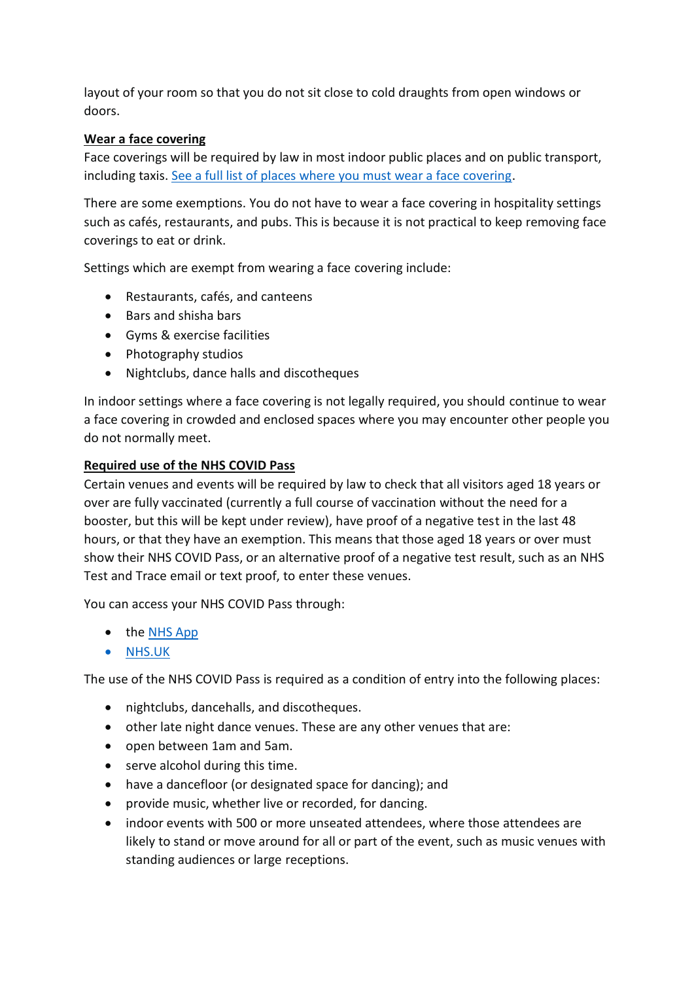layout of your room so that you do not sit close to cold draughts from open windows or doors.

### **Wear a face covering**

Face coverings will be required by law in most indoor public places and on public transport, including taxis. [See a full list of places where you must wear a face covering.](https://www.gov.uk/government/publications/face-coverings-when-to-wear-one-and-how-to-make-your-own/face-coverings-when-to-wear-one-and-how-to-make-your-own)

There are some exemptions. You do not have to wear a face covering in hospitality settings such as cafés, restaurants, and pubs. This is because it is not practical to keep removing face coverings to eat or drink.

Settings which are exempt from wearing a face covering include:

- Restaurants, cafés, and canteens
- Bars and shisha bars
- Gyms & exercise facilities
- Photography studios
- Nightclubs, dance halls and discotheques

In indoor settings where a face covering is not legally required, you should continue to wear a face covering in crowded and enclosed spaces where you may encounter other people you do not normally meet.

### **Required use of the NHS COVID Pass**

Certain venues and events will be required by law to check that all visitors aged 18 years or over are fully vaccinated (currently a full course of vaccination without the need for a booster, but this will be kept under review), have proof of a negative test in the last 48 hours, or that they have an exemption. This means that those aged 18 years or over must show their NHS COVID Pass, or an alternative proof of a negative test result, such as an NHS Test and Trace email or text proof, to enter these venues.

You can access your NHS COVID Pass through:

- the [NHS App](https://www.nhs.uk/nhs-app/)
- [NHS.UK](https://www.nhs.uk/conditions/coronavirus-covid-19/covid-pass/)

The use of the NHS COVID Pass is required as a condition of entry into the following places:

- nightclubs, dancehalls, and discotheques.
- other late night dance venues. These are any other venues that are:
- open between 1am and 5am.
- serve alcohol during this time.
- have a dancefloor (or designated space for dancing); and
- provide music, whether live or recorded, for dancing.
- indoor events with 500 or more unseated attendees, where those attendees are likely to stand or move around for all or part of the event, such as music venues with standing audiences or large receptions.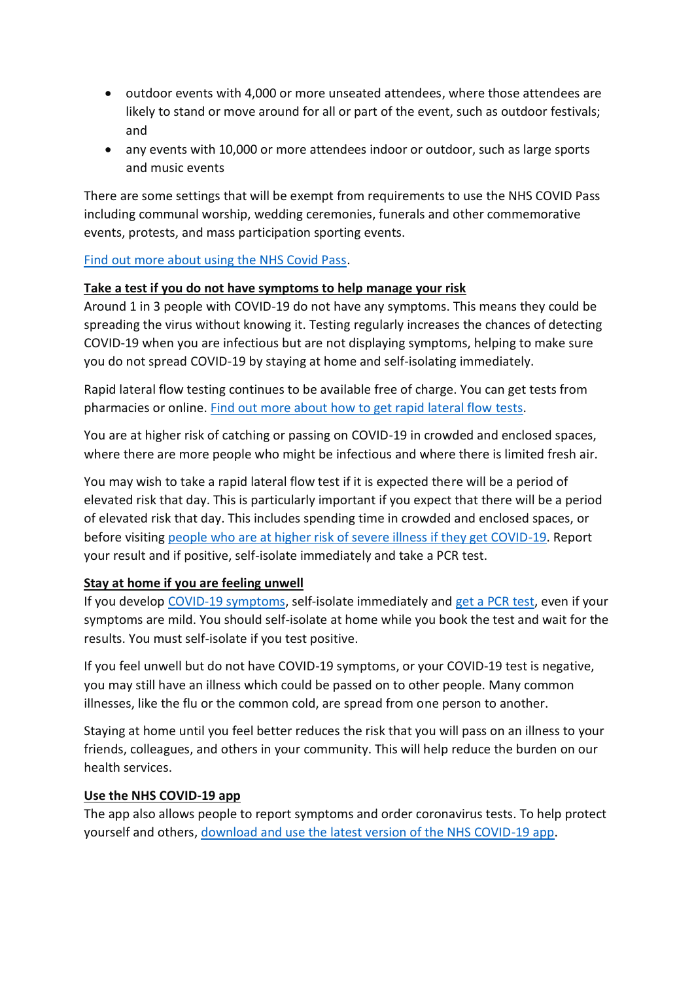- outdoor events with 4,000 or more unseated attendees, where those attendees are likely to stand or move around for all or part of the event, such as outdoor festivals; and
- any events with 10,000 or more attendees indoor or outdoor, such as large sports and music events

There are some settings that will be exempt from requirements to use the NHS COVID Pass including communal worship, wedding ceremonies, funerals and other commemorative events, protests, and mass participation sporting events.

[Find out more about using the NHS Covid Pass.](https://www.gov.uk/guidance/nhs-covid-pass)

#### **Take a test if you do not have symptoms to help manage your risk**

Around 1 in 3 people with COVID-19 do not have any symptoms. This means they could be spreading the virus without knowing it. Testing regularly increases the chances of detecting COVID-19 when you are infectious but are not displaying symptoms, helping to make sure you do not spread COVID-19 by staying at home and self-isolating immediately.

Rapid lateral flow testing continues to be available free of charge. You can get tests from pharmacies or online. [Find out more about how to get rapid lateral flow](https://www.nhs.uk/conditions/coronavirus-covid-19/testing/regular-rapid-coronavirus-tests-if-you-do-not-have-symptoms/) tests.

You are at higher risk of catching or passing on COVID-19 in crowded and enclosed spaces, where there are more people who might be infectious and where there is limited fresh air.

You may wish to take a rapid lateral flow test if it is expected there will be a period of elevated risk that day. This is particularly important if you expect that there will be a period of elevated risk that day. This includes spending time in crowded and enclosed spaces, or before visiting [people who are at higher risk of severe illness if they get COVID-19.](https://www.nhs.uk/conditions/coronavirus-covid-19/people-at-higher-risk/who-is-at-high-risk-from-coronavirus/) Report your result and if positive, self-isolate immediately and take a PCR test.

### **Stay at home if you are feeling unwell**

If you develop [COVID-19 symptoms,](https://www.nhs.uk/conditions/coronavirus-covid-19/symptoms/) self-isolate immediately and [get a PCR test,](https://www.nhs.uk/conditions/coronavirus-covid-19/testing/get-tested-for-coronavirus/) even if your symptoms are mild. You should self-isolate at home while you book the test and wait for the results. You must self-isolate if you test positive.

If you feel unwell but do not have COVID-19 symptoms, or your COVID-19 test is negative, you may still have an illness which could be passed on to other people. Many common illnesses, like the flu or the common cold, are spread from one person to another.

Staying at home until you feel better reduces the risk that you will pass on an illness to your friends, colleagues, and others in your community. This will help reduce the burden on our health services.

#### **Use the NHS COVID-19 app**

The app also allows people to report symptoms and order coronavirus tests. To help protect yourself and others, [download and use the latest version of the NHS COVID-19 app.](https://www.covid19.nhs.uk/)